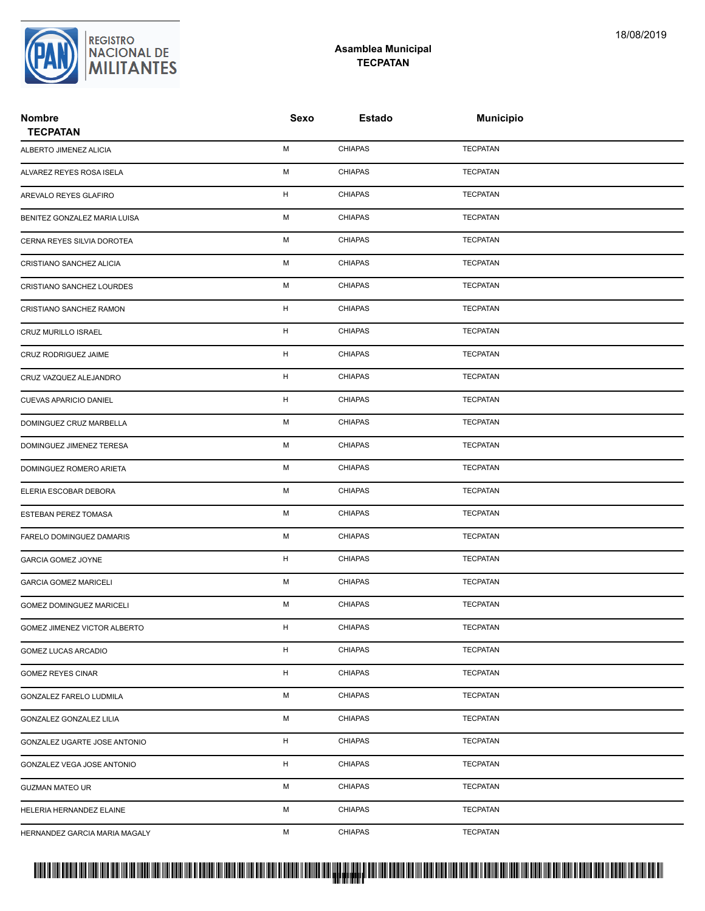

## **Asamblea Municipal TECPATAN**

| <b>Nombre</b><br><b>TECPATAN</b> | Sexo        | <b>Estado</b>  | <b>Municipio</b> |  |
|----------------------------------|-------------|----------------|------------------|--|
| ALBERTO JIMENEZ ALICIA           | М           | <b>CHIAPAS</b> | <b>TECPATAN</b>  |  |
| ALVAREZ REYES ROSA ISELA         | M           | <b>CHIAPAS</b> | <b>TECPATAN</b>  |  |
| AREVALO REYES GLAFIRO            | $\mathsf H$ | CHIAPAS        | <b>TECPATAN</b>  |  |
| BENITEZ GONZALEZ MARIA LUISA     | М           | <b>CHIAPAS</b> | <b>TECPATAN</b>  |  |
| CERNA REYES SILVIA DOROTEA       | М           | <b>CHIAPAS</b> | <b>TECPATAN</b>  |  |
| CRISTIANO SANCHEZ ALICIA         | M           | <b>CHIAPAS</b> | <b>TECPATAN</b>  |  |
| CRISTIANO SANCHEZ LOURDES        | М           | <b>CHIAPAS</b> | <b>TECPATAN</b>  |  |
| CRISTIANO SANCHEZ RAMON          | H           | <b>CHIAPAS</b> | <b>TECPATAN</b>  |  |
| CRUZ MURILLO ISRAEL              | н           | <b>CHIAPAS</b> | <b>TECPATAN</b>  |  |
| CRUZ RODRIGUEZ JAIME             | н           | <b>CHIAPAS</b> | <b>TECPATAN</b>  |  |
| CRUZ VAZQUEZ ALEJANDRO           | н           | <b>CHIAPAS</b> | <b>TECPATAN</b>  |  |
| CUEVAS APARICIO DANIEL           | н           | <b>CHIAPAS</b> | <b>TECPATAN</b>  |  |
| DOMINGUEZ CRUZ MARBELLA          | М           | <b>CHIAPAS</b> | <b>TECPATAN</b>  |  |
| DOMINGUEZ JIMENEZ TERESA         | М           | <b>CHIAPAS</b> | <b>TECPATAN</b>  |  |
| DOMINGUEZ ROMERO ARIETA          | M           | <b>CHIAPAS</b> | <b>TECPATAN</b>  |  |
| ELERIA ESCOBAR DEBORA            | М           | <b>CHIAPAS</b> | <b>TECPATAN</b>  |  |
| ESTEBAN PEREZ TOMASA             | М           | <b>CHIAPAS</b> | <b>TECPATAN</b>  |  |
| FARELO DOMINGUEZ DAMARIS         | М           | <b>CHIAPAS</b> | <b>TECPATAN</b>  |  |
| <b>GARCIA GOMEZ JOYNE</b>        | н           | <b>CHIAPAS</b> | <b>TECPATAN</b>  |  |
| <b>GARCIA GOMEZ MARICELI</b>     | М           | <b>CHIAPAS</b> | <b>TECPATAN</b>  |  |
| GOMEZ DOMINGUEZ MARICELI         | М           | <b>CHIAPAS</b> | <b>TECPATAN</b>  |  |
| GOMEZ JIMENEZ VICTOR ALBERTO     | н           | <b>CHIAPAS</b> | <b>TECPATAN</b>  |  |
| GOMEZ LUCAS ARCADIO              | H           | <b>CHIAPAS</b> | <b>TECPATAN</b>  |  |
| <b>GOMEZ REYES CINAR</b>         | H           | <b>CHIAPAS</b> | <b>TECPATAN</b>  |  |
| GONZALEZ FARELO LUDMILA          | М           | <b>CHIAPAS</b> | <b>TECPATAN</b>  |  |
| <b>GONZALEZ GONZALEZ LILIA</b>   | М           | <b>CHIAPAS</b> | <b>TECPATAN</b>  |  |
| GONZALEZ UGARTE JOSE ANTONIO     | H           | <b>CHIAPAS</b> | <b>TECPATAN</b>  |  |
| GONZALEZ VEGA JOSE ANTONIO       | H           | <b>CHIAPAS</b> | <b>TECPATAN</b>  |  |
| <b>GUZMAN MATEO UR</b>           | М           | <b>CHIAPAS</b> | <b>TECPATAN</b>  |  |
| HELERIA HERNANDEZ ELAINE         | М           | <b>CHIAPAS</b> | <b>TECPATAN</b>  |  |
| HERNANDEZ GARCIA MARIA MAGALY    | М           | <b>CHIAPAS</b> | <b>TECPATAN</b>  |  |

## PROTUCCION SU REGION DA SU REGIONAL DE LA SULTA SU REGIONAL DE MILITANTES CONTRADO NACIONAL DE MILITANTES CONTRADO N <mark>. Pangyakan k</mark>